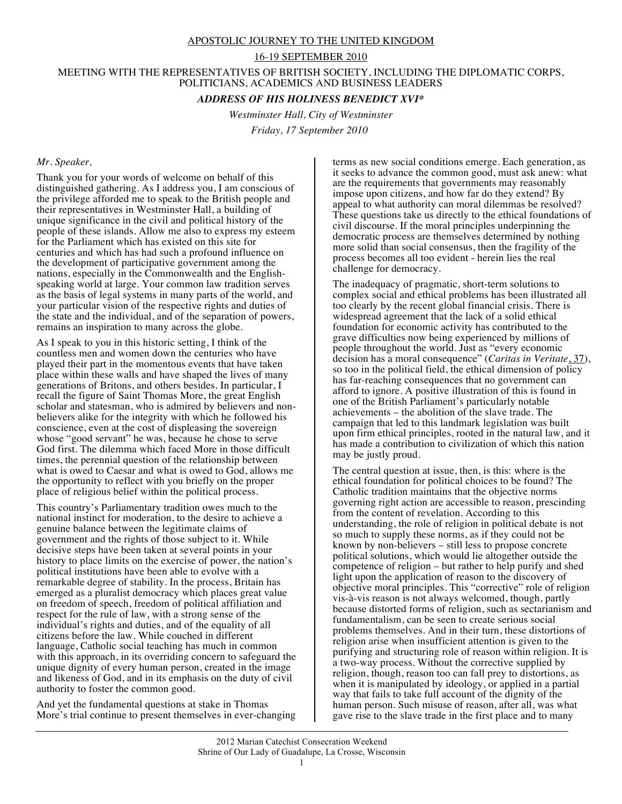## APOSTOLIC JOURNEY TO THE UNITED KINGDOM

16-19 SEPTEMBER 2010

## MEETING WITH THE REPRESENTATIVES OF BRITISH SOCIETY, INCLUDING THE DIPLOMATIC CORPS, POLITICIANS, ACADEMICS AND BUSINESS LEADERS

## *ADDRESS OF HIS HOLINESS BENEDICT XVI\**

*Westminster Hall, City of Westminster Friday, 17 September 2010*

## *Mr. Speaker,*

Thank you for your words of welcome on behalf of this distinguished gathering. As I address you, I am conscious of the privilege afforded me to speak to the British people and their representatives in Westminster Hall, a building of unique significance in the civil and political history of the people of these islands. Allow me also to express my esteem for the Parliament which has existed on this site for centuries and which has had such a profound influence on the development of participative government among the nations, especially in the Commonwealth and the Englishspeaking world at large. Your common law tradition serves as the basis of legal systems in many parts of the world, and your particular vision of the respective rights and duties of the state and the individual, and of the separation of powers, remains an inspiration to many across the globe.

As I speak to you in this historic setting, I think of the countless men and women down the centuries who have played their part in the momentous events that have taken place within these walls and have shaped the lives of many generations of Britons, and others besides. In particular, I recall the figure of Saint Thomas More, the great English scholar and statesman, who is admired by believers and nonbelievers alike for the integrity with which he followed his conscience, even at the cost of displeasing the sovereign whose "good servant" he was, because he chose to serve God first. The dilemma which faced More in those difficult times, the perennial question of the relationship between what is owed to Caesar and what is owed to God, allows me the opportunity to reflect with you briefly on the proper place of religious belief within the political process.

This country's Parliamentary tradition owes much to the national instinct for moderation, to the desire to achieve a genuine balance between the legitimate claims of government and the rights of those subject to it. While decisive steps have been taken at several points in your history to place limits on the exercise of power, the nation's political institutions have been able to evolve with a remarkable degree of stability. In the process, Britain has emerged as a pluralist democracy which places great value on freedom of speech, freedom of political affiliation and respect for the rule of law, with a strong sense of the individual's rights and duties, and of the equality of all citizens before the law. While couched in different language, Catholic social teaching has much in common with this approach, in its overriding concern to safeguard the unique dignity of every human person, created in the image and likeness of God, and in its emphasis on the duty of civil authority to foster the common good.

And yet the fundamental questions at stake in Thomas More's trial continue to present themselves in ever-changing

terms as new social conditions emerge. Each generation, as it seeks to advance the common good, must ask anew: what are the requirements that governments may reasonably impose upon citizens, and how far do they extend? By appeal to what authority can moral dilemmas be resolved? These questions take us directly to the ethical foundations of civil discourse. If the moral principles underpinning the democratic process are themselves determined by nothing more solid than social consensus, then the fragility of the process becomes all too evident - herein lies the real challenge for democracy.

The inadequacy of pragmatic, short-term solutions to complex social and ethical problems has been illustrated all too clearly by the recent global financial crisis. There is widespread agreement that the lack of a solid ethical foundation for economic activity has contributed to the grave difficulties now being experienced by millions of people throughout the world. Just as "every economic decision has a moral consequence" (*Caritas in Veritate*, 37), so too in the political field, the ethical dimension of policy has far-reaching consequences that no government can afford to ignore. A positive illustration of this is found in one of the British Parliament's particularly notable achievements – the abolition of the slave trade. The campaign that led to this landmark legislation was built upon firm ethical principles, rooted in the natural law, and it has made a contribution to civilization of which this nation may be justly proud.

The central question at issue, then, is this: where is the ethical foundation for political choices to be found? The Catholic tradition maintains that the objective norms governing right action are accessible to reason, prescinding from the content of revelation. According to this understanding, the role of religion in political debate is not so much to supply these norms, as if they could not be known by non-believers – still less to propose concrete political solutions, which would lie altogether outside the competence of religion – but rather to help purify and shed light upon the application of reason to the discovery of objective moral principles. This "corrective" role of religion vis-à-vis reason is not always welcomed, though, partly because distorted forms of religion, such as sectarianism and fundamentalism, can be seen to create serious social problems themselves. And in their turn, these distortions of religion arise when insufficient attention is given to the purifying and structuring role of reason within religion. It is a two-way process. Without the corrective supplied by religion, though, reason too can fall prey to distortions, as when it is manipulated by ideology, or applied in a partial way that fails to take full account of the dignity of the human person. Such misuse of reason, after all, was what gave rise to the slave trade in the first place and to many